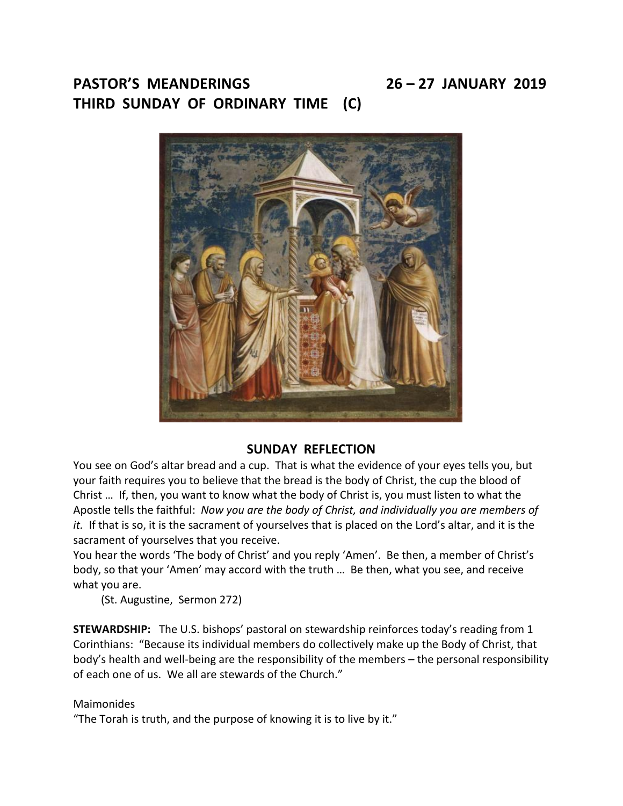# **PASTOR'S MEANDERINGS 26 – 27 JANUARY 2019**

**THIRD SUNDAY OF ORDINARY TIME (C)**



### **SUNDAY REFLECTION**

You see on God's altar bread and a cup. That is what the evidence of your eyes tells you, but your faith requires you to believe that the bread is the body of Christ, the cup the blood of Christ … If, then, you want to know what the body of Christ is, you must listen to what the Apostle tells the faithful: *Now you are the body of Christ, and individually you are members of it.* If that is so, it is the sacrament of yourselves that is placed on the Lord's altar, and it is the sacrament of yourselves that you receive.

You hear the words 'The body of Christ' and you reply 'Amen'. Be then, a member of Christ's body, so that your 'Amen' may accord with the truth … Be then, what you see, and receive what you are.

(St. Augustine, Sermon 272)

**STEWARDSHIP:** The U.S. bishops' pastoral on stewardship reinforces today's reading from 1 Corinthians: "Because its individual members do collectively make up the Body of Christ, that body's health and well-being are the responsibility of the members – the personal responsibility of each one of us. We all are stewards of the Church."

#### Maimonides

"The Torah is truth, and the purpose of knowing it is to live by it."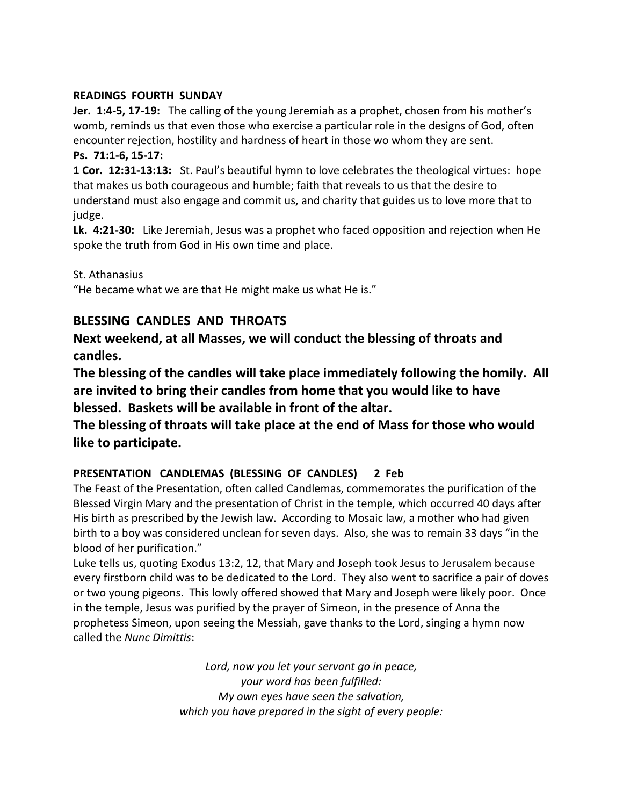#### **READINGS FOURTH SUNDAY**

**Jer. 1:4-5, 17-19:** The calling of the young Jeremiah as a prophet, chosen from his mother's womb, reminds us that even those who exercise a particular role in the designs of God, often encounter rejection, hostility and hardness of heart in those wo whom they are sent.

#### **Ps. 71:1-6, 15-17:**

**1 Cor. 12:31-13:13:** St. Paul's beautiful hymn to love celebrates the theological virtues: hope that makes us both courageous and humble; faith that reveals to us that the desire to understand must also engage and commit us, and charity that guides us to love more that to judge.

**Lk. 4:21-30:** Like Jeremiah, Jesus was a prophet who faced opposition and rejection when He spoke the truth from God in His own time and place.

St. Athanasius

"He became what we are that He might make us what He is."

## **BLESSING CANDLES AND THROATS**

**Next weekend, at all Masses, we will conduct the blessing of throats and candles.** 

**The blessing of the candles will take place immediately following the homily. All are invited to bring their candles from home that you would like to have blessed. Baskets will be available in front of the altar.**

**The blessing of throats will take place at the end of Mass for those who would like to participate.**

### **PRESENTATION CANDLEMAS (BLESSING OF CANDLES) 2 Feb**

The Feast of the Presentation, often called Candlemas, commemorates the purification of the Blessed Virgin Mary and the presentation of Christ in the temple, which occurred 40 days after His birth as prescribed by the Jewish law. According to Mosaic law, a mother who had given birth to a boy was considered unclean for seven days. Also, she was to remain 33 days "in the blood of her purification."

Luke tells us, quoting Exodus 13:2, 12, that Mary and Joseph took Jesus to Jerusalem because every firstborn child was to be dedicated to the Lord. They also went to sacrifice a pair of doves or two young pigeons. This lowly offered showed that Mary and Joseph were likely poor. Once in the temple, Jesus was purified by the prayer of Simeon, in the presence of Anna the prophetess Simeon, upon seeing the Messiah, gave thanks to the Lord, singing a hymn now called the *Nunc Dimittis*:

> *Lord, now you let your servant go in peace, your word has been fulfilled: My own eyes have seen the salvation, which you have prepared in the sight of every people:*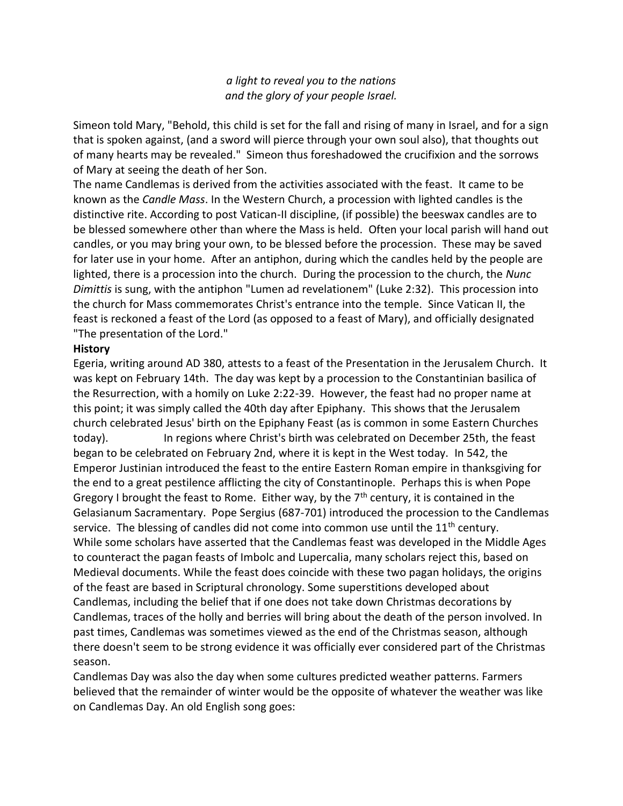#### *a light to reveal you to the nations and the glory of your people Israel.*

Simeon told Mary, "Behold, this child is set for the fall and rising of many in Israel, and for a sign that is spoken against, (and a sword will pierce through your own soul also), that thoughts out of many hearts may be revealed." Simeon thus foreshadowed the crucifixion and the sorrows of Mary at seeing the death of her Son.

The name Candlemas is derived from the activities associated with the feast. It came to be known as the *Candle Mass*. In the Western Church, a procession with lighted candles is the distinctive rite. According to post Vatican-II discipline, (if possible) the beeswax candles are to be blessed somewhere other than where the Mass is held. Often your local parish will hand out candles, or you may bring your own, to be blessed before the procession. These may be saved for later use in your home. After an antiphon, during which the candles held by the people are lighted, there is a procession into the church. During the procession to the church, the *Nunc Dimittis* is sung, with the antiphon "Lumen ad revelationem" (Luke 2:32). This procession into the church for Mass commemorates Christ's entrance into the temple. Since Vatican II, the feast is reckoned a feast of the Lord (as opposed to a feast of Mary), and officially designated "The presentation of the Lord."

#### **History**

Egeria, writing around AD 380, attests to a feast of the Presentation in the Jerusalem Church. It was kept on February 14th. The day was kept by a procession to the Constantinian basilica of the Resurrection, with a homily on Luke 2:22-39. However, the feast had no proper name at this point; it was simply called the 40th day after Epiphany. This shows that the Jerusalem church celebrated Jesus' birth on the Epiphany Feast (as is common in some Eastern Churches today).In regions where Christ's birth was celebrated on December 25th, the feast began to be celebrated on February 2nd, where it is kept in the West today. In 542, the Emperor Justinian introduced the feast to the entire Eastern Roman empire in thanksgiving for the end to a great pestilence afflicting the city of Constantinople. Perhaps this is when Pope Gregory I brought the feast to Rome. Either way, by the  $7<sup>th</sup>$  century, it is contained in the Gelasianum Sacramentary. Pope Sergius (687-701) introduced the procession to the Candlemas service. The blessing of candles did not come into common use until the  $11<sup>th</sup>$  century. While some scholars have asserted that the Candlemas feast was developed in the Middle Ages to counteract the pagan feasts of Imbolc and Lupercalia, many scholars reject this, based on Medieval documents. While the feast does coincide with these two pagan holidays, the origins of the feast are based in Scriptural chronology. Some superstitions developed about Candlemas, including the belief that if one does not take down Christmas decorations by Candlemas, traces of the holly and berries will bring about the death of the person involved. In past times, Candlemas was sometimes viewed as the end of the Christmas season, although there doesn't seem to be strong evidence it was officially ever considered part of the Christmas season.

Candlemas Day was also the day when some cultures predicted weather patterns. Farmers believed that the remainder of winter would be the opposite of whatever the weather was like on Candlemas Day. An old English song goes: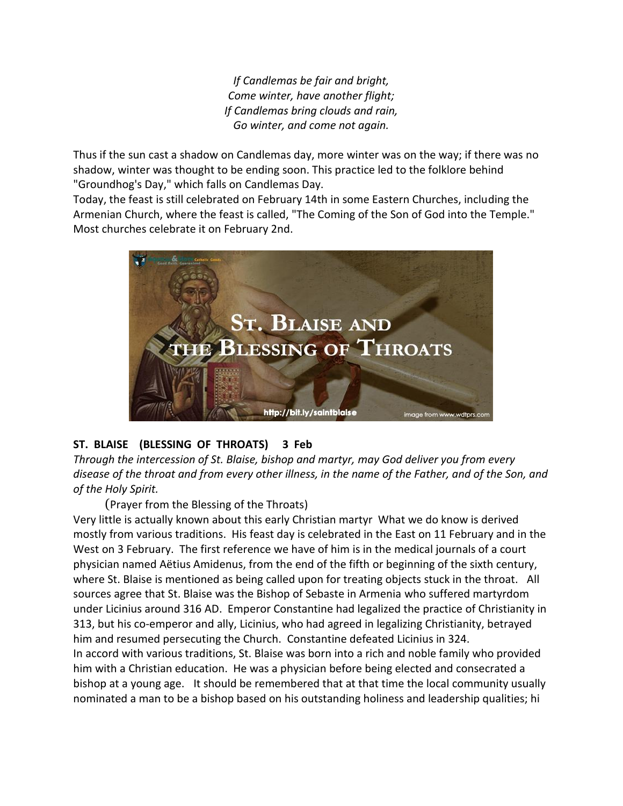*If Candlemas be fair and bright, Come winter, have another flight; If Candlemas bring clouds and rain, Go winter, and come not again.*

Thus if the sun cast a shadow on Candlemas day, more winter was on the way; if there was no shadow, winter was thought to be ending soon. This practice led to the folklore behind "Groundhog's Day," which falls on Candlemas Day.

Today, the feast is still celebrated on February 14th in some Eastern Churches, including the Armenian Church, where the feast is called, "The Coming of the Son of God into the Temple." Most churches celebrate it on February 2nd.



### **ST. BLAISE (BLESSING OF THROATS) 3 Feb**

*Through the intercession of St. Blaise, bishop and martyr, may God deliver you from every disease of the throat and from every other illness, in the name of the Father, and of the Son, and of the Holy Spirit.*

### (Prayer from the Blessing of the Throats)

Very little is actually known about this early Christian martyr What we do know is derived mostly from various traditions. His feast day is celebrated in the East on 11 February and in the West on 3 February. The first reference we have of him is in the medical journals of a court physician named Aëtius Amidenus, from the end of the fifth or beginning of the sixth century, where St. Blaise is mentioned as being called upon for treating objects stuck in the throat. All sources agree that St. Blaise was the Bishop of Sebaste in Armenia who suffered martyrdom under Licinius around 316 AD. Emperor Constantine had legalized the practice of Christianity in 313, but his co-emperor and ally, Licinius, who had agreed in legalizing Christianity, betrayed him and resumed persecuting the Church. Constantine defeated Licinius in 324. In accord with various traditions, St. Blaise was born into a rich and noble family who provided him with a Christian education. He was a physician before being elected and consecrated a bishop at a young age. It should be remembered that at that time the local community usually nominated a man to be a bishop based on his outstanding holiness and leadership qualities; hi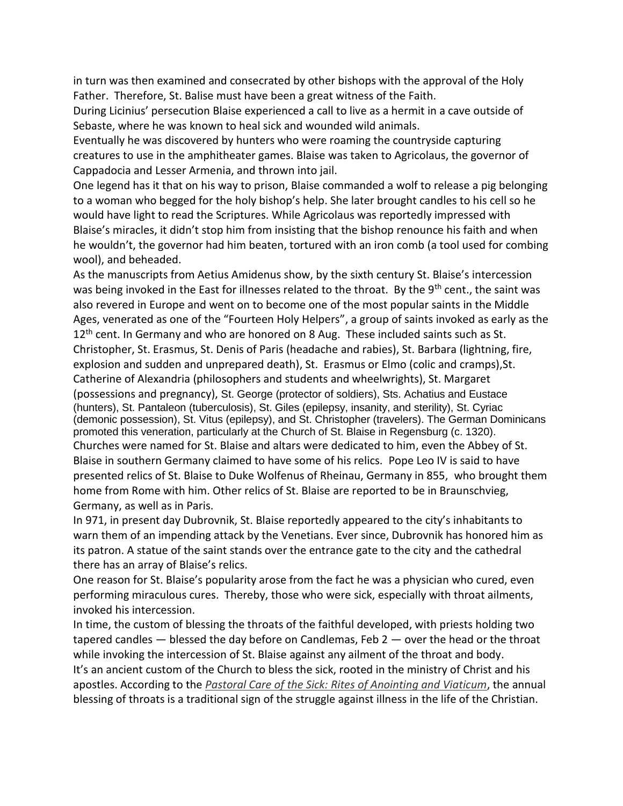in turn was then examined and consecrated by other bishops with the approval of the Holy Father. Therefore, St. Balise must have been a great witness of the Faith.

During Licinius' persecution Blaise experienced a call to live as a hermit in a cave outside of Sebaste, where he was known to heal sick and wounded wild animals.

Eventually he was discovered by hunters who were roaming the countryside capturing creatures to use in the amphitheater games. Blaise was taken to Agricolaus, the governor of Cappadocia and Lesser Armenia, and thrown into jail.

One legend has it that on his way to prison, Blaise commanded a wolf to release a pig belonging to a woman who begged for the holy bishop's help. She later brought candles to his cell so he would have light to read the Scriptures. While Agricolaus was reportedly impressed with Blaise's miracles, it didn't stop him from insisting that the bishop renounce his faith and when he wouldn't, the governor had him beaten, tortured with an iron comb (a tool used for combing wool), and beheaded.

As the manuscripts from Aetius Amidenus show, by the sixth century St. Blaise's intercession was being invoked in the East for illnesses related to the throat. By the 9<sup>th</sup> cent., the saint was also revered in Europe and went on to become one of the most popular saints in the Middle Ages, venerated as one of the "Fourteen Holy Helpers", a group of saints invoked as early as the  $12<sup>th</sup>$  cent. In Germany and who are honored on 8 Aug. These included saints such as St. Christopher, St. Erasmus, St. Denis of Paris (headache and rabies), St. Barbara (lightning, fire, explosion and sudden and unprepared death), St. Erasmus or Elmo (colic and cramps),St. Catherine of Alexandria (philosophers and students and wheelwrights), St. Margaret (possessions and pregnancy), St. George (protector of soldiers), Sts. Achatius and Eustace (hunters), St. Pantaleon (tuberculosis), St. Giles (epilepsy, insanity, and sterility), St. Cyriac (demonic possession), St. Vitus (epilepsy), and St. Christopher (travelers). The German Dominicans promoted this veneration, particularly at the Church of St. Blaise in Regensburg (c. 1320). Churches were named for St. Blaise and altars were dedicated to him, even the Abbey of St. Blaise in southern Germany claimed to have some of his relics. Pope Leo IV is said to have presented relics of St. Blaise to Duke Wolfenus of Rheinau, Germany in 855, who brought them home from Rome with him. Other relics of St. Blaise are reported to be in Braunschvieg, Germany, as well as in Paris.

In 971, in present day Dubrovnik, St. Blaise reportedly appeared to the city's inhabitants to warn them of an impending attack by the Venetians. Ever since, Dubrovnik has honored him as its patron. A statue of the saint stands over the entrance gate to the city and the cathedral there has an array of Blaise's relics.

One reason for St. Blaise's popularity arose from the fact he was a physician who cured, even performing miraculous cures. Thereby, those who were sick, especially with throat ailments, invoked his intercession.

In time, the custom of blessing the throats of the faithful developed, with priests holding two tapered candles  $-$  blessed the day before on Candlemas, Feb 2  $-$  over the head or the throat while invoking the intercession of St. Blaise against any ailment of the throat and body. It's an ancient custom of the Church to bless the sick, rooted in the ministry of Christ and his apostles. According to the *[Pastoral Care of the Sick: Rites of Anointing and Viaticum](http://www.usccb.org/prayer-and-worship/sacraments-and-sacramentals/sacramentals-blessings/persons/order-for-the-blessing-of-the-sick.cfm)*, the annual blessing of throats is a traditional sign of the struggle against illness in the life of the Christian.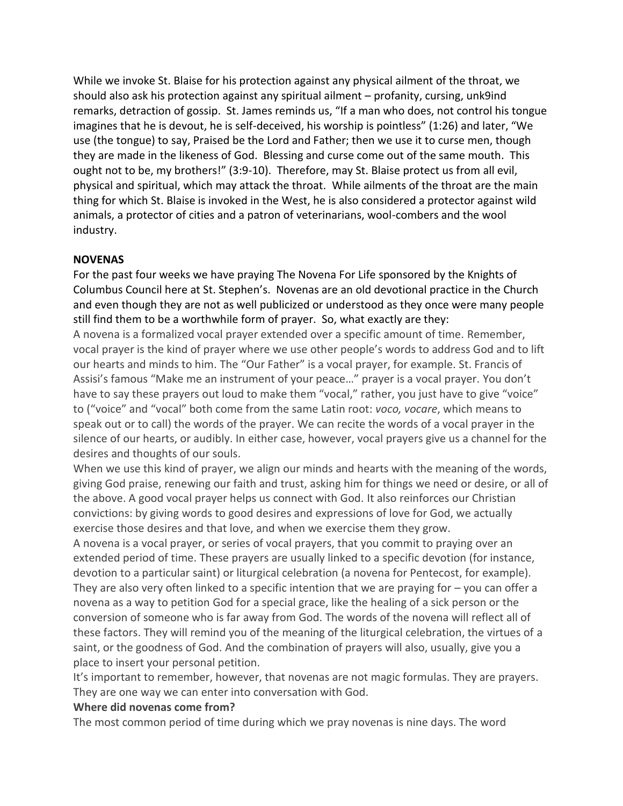While we invoke St. Blaise for his protection against any physical ailment of the throat, we should also ask his protection against any spiritual ailment – profanity, cursing, unk9ind remarks, detraction of gossip. St. James reminds us, "If a man who does, not control his tongue imagines that he is devout, he is self-deceived, his worship is pointless" (1:26) and later, "We use (the tongue) to say, Praised be the Lord and Father; then we use it to curse men, though they are made in the likeness of God. Blessing and curse come out of the same mouth. This ought not to be, my brothers!" (3:9-10). Therefore, may St. Blaise protect us from all evil, physical and spiritual, which may attack the throat. While ailments of the throat are the main thing for which St. Blaise is invoked in the West, he is also considered a protector against wild animals, a protector of cities and a patron of veterinarians, wool-combers and the wool industry.

#### **NOVENAS**

For the past four weeks we have praying The Novena For Life sponsored by the Knights of Columbus Council here at St. Stephen's. Novenas are an old devotional practice in the Church and even though they are not as well publicized or understood as they once were many people still find them to be a worthwhile form of prayer. So, what exactly are they:

A novena is a formalized vocal prayer extended over a specific amount of time. Remember, vocal prayer is the kind of prayer where we use other people's words to address God and to lift our hearts and minds to him. The "Our Father" is a vocal prayer, for example. St. Francis of Assisi's famous "Make me an instrument of your peace…" prayer is a vocal prayer. You don't have to say these prayers out loud to make them "vocal," rather, you just have to give "voice" to ("voice" and "vocal" both come from the same Latin root: *voco, vocare*, which means to speak out or to call) the words of the prayer. We can recite the words of a vocal prayer in the silence of our hearts, or audibly. In either case, however, vocal prayers give us a channel for the desires and thoughts of our souls.

When we use this kind of prayer, we align our minds and hearts with the meaning of the words, giving God praise, renewing our faith and trust, asking him for things we need or desire, or all of the above. A good vocal prayer helps us connect with God. It also reinforces our Christian convictions: by giving words to good desires and expressions of love for God, we actually exercise those desires and that love, and when we exercise them they grow.

A novena is a vocal prayer, or series of vocal prayers, that you commit to praying over an extended period of time. These prayers are usually linked to a specific devotion (for instance, devotion to a particular saint) or liturgical celebration (a novena for Pentecost, for example). They are also very often linked to a specific intention that we are praying for – you can offer a novena as a way to petition God for a special grace, like the healing of a sick person or the conversion of someone who is far away from God. The words of the novena will reflect all of these factors. They will remind you of the meaning of the liturgical celebration, the virtues of a saint, or the goodness of God. And the combination of prayers will also, usually, give you a place to insert your personal petition.

It's important to remember, however, that novenas are not magic formulas. They are prayers. They are one way we can enter into conversation with God.

#### **Where did novenas come from?**

The most common period of time during which we pray novenas is nine days. The word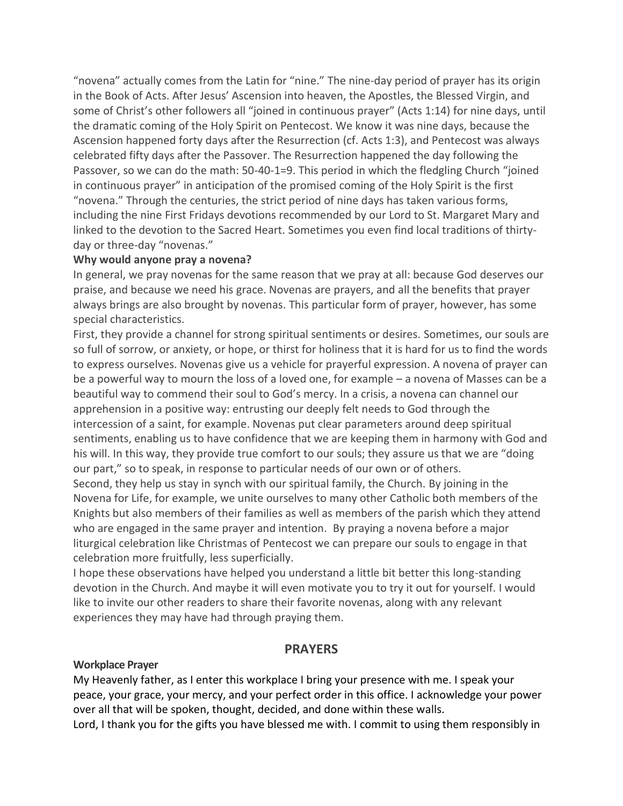"novena" actually comes from the Latin for "nine." The nine-day period of prayer has its origin in the Book of Acts. After Jesus' Ascension into heaven, the Apostles, the Blessed Virgin, and some of Christ's other followers all "joined in continuous prayer" (Acts 1:14) for nine days, until the dramatic coming of the Holy Spirit on Pentecost. We know it was nine days, because the Ascension happened forty days after the Resurrection (cf. Acts 1:3), and Pentecost was always celebrated fifty days after the Passover. The Resurrection happened the day following the Passover, so we can do the math: 50-40-1=9. This period in which the fledgling Church "joined in continuous prayer" in anticipation of the promised coming of the Holy Spirit is the first "novena." Through the centuries, the strict period of nine days has taken various forms, including the nine First Fridays devotions recommended by our Lord to St. Margaret Mary and linked to the devotion to the Sacred Heart. Sometimes you even find local traditions of thirtyday or three-day "novenas."

#### **Why would anyone pray a novena?**

In general, we pray novenas for the same reason that we pray at all: because God deserves our praise, and because we need his grace. Novenas are prayers, and all the benefits that prayer always brings are also brought by novenas. This particular form of prayer, however, has some special characteristics.

First, they provide a channel for strong spiritual sentiments or desires. Sometimes, our souls are so full of sorrow, or anxiety, or hope, or thirst for holiness that it is hard for us to find the words to express ourselves. Novenas give us a vehicle for prayerful expression. A novena of prayer can be a powerful way to mourn the loss of a loved one, for example – a novena of Masses can be a beautiful way to commend their soul to God's mercy. In a crisis, a novena can channel our apprehension in a positive way: entrusting our deeply felt needs to God through the intercession of a saint, for example. Novenas put clear parameters around deep spiritual sentiments, enabling us to have confidence that we are keeping them in harmony with God and his will. In this way, they provide true comfort to our souls; they assure us that we are "doing our part," so to speak, in response to particular needs of our own or of others.

Second, they help us stay in synch with our spiritual family, the Church. By joining in the Novena for Life, for example, we unite ourselves to many other Catholic both members of the Knights but also members of their families as well as members of the parish which they attend who are engaged in the same prayer and intention. By praying a novena before a major liturgical celebration like Christmas of Pentecost we can prepare our souls to engage in that celebration more fruitfully, less superficially.

I hope these observations have helped you understand a little bit better this long-standing devotion in the Church. And maybe it will even motivate you to try it out for yourself. I would like to invite our other readers to share their favorite novenas, along with any relevant experiences they may have had through praying them.

### **PRAYERS**

#### **Workplace Prayer**

My Heavenly father, as I enter this workplace I bring your presence with me. I speak your peace, your grace, your mercy, and your perfect order in this office. I acknowledge your power over all that will be spoken, thought, decided, and done within these walls. Lord, I thank you for the gifts you have blessed me with. I commit to using them responsibly in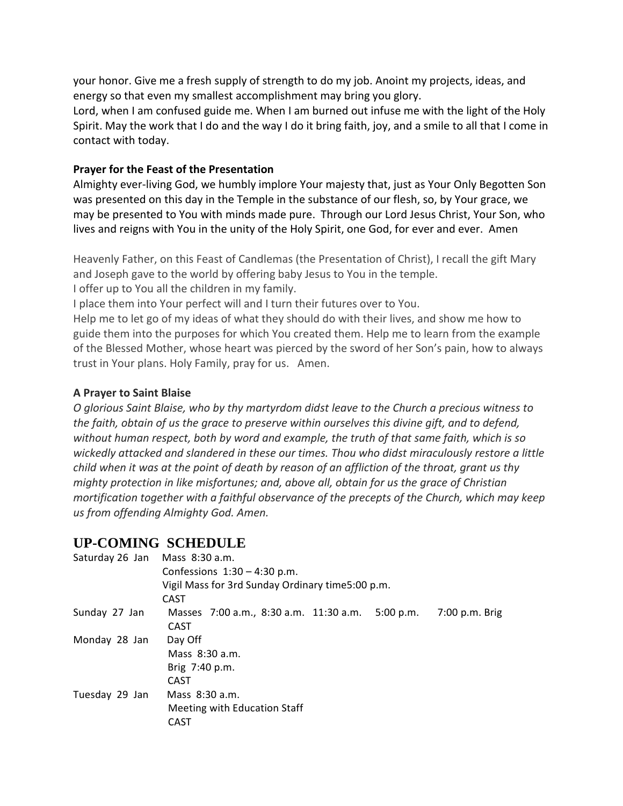your honor. Give me a fresh supply of strength to do my job. Anoint my projects, ideas, and energy so that even my smallest accomplishment may bring you glory.

Lord, when I am confused guide me. When I am burned out infuse me with the light of the Holy Spirit. May the work that I do and the way I do it bring faith, joy, and a smile to all that I come in contact with today.

### **Prayer for the Feast of the Presentation**

Almighty ever-living God, we humbly implore Your majesty that, just as Your Only Begotten Son was presented on this day in the Temple in the substance of our flesh, so, by Your grace, we may be presented to You with minds made pure. Through our Lord Jesus Christ, Your Son, who lives and reigns with You in the unity of the Holy Spirit, one God, for ever and ever. Amen

Heavenly Father, on this Feast of Candlemas (the Presentation of Christ), I recall the gift Mary and Joseph gave to the world by offering baby Jesus to You in the temple.

I offer up to You all the children in my family.

I place them into Your perfect will and I turn their futures over to You.

Help me to let go of my ideas of what they should do with their lives, and show me how to guide them into the purposes for which You created them. Help me to learn from the example of the Blessed Mother, whose heart was pierced by the sword of her Son's pain, how to always trust in Your plans. Holy Family, pray for us. Amen.

### **A Prayer to Saint Blaise**

*O glorious Saint Blaise, who by thy martyrdom didst leave to the Church a precious witness to the faith, obtain of us the grace to preserve within ourselves this divine gift, and to defend, without human respect, both by word and example, the truth of that same faith, which is so wickedly attacked and slandered in these our times. Thou who didst miraculously restore a little child when it was at the point of death by reason of an affliction of the throat, grant us thy mighty protection in like misfortunes; and, above all, obtain for us the grace of Christian mortification together with a faithful observance of the precepts of the Church, which may keep us from offending Almighty God. Amen.*

# **UP-COMING SCHEDULE**

| Saturday 26 Jan | Mass 8:30 a.m.<br>Confessions $1:30 - 4:30$ p.m.<br>Vigil Mass for 3rd Sunday Ordinary time 5:00 p.m.<br><b>CAST</b> |
|-----------------|----------------------------------------------------------------------------------------------------------------------|
| Sunday 27 Jan   | Masses 7:00 a.m., 8:30 a.m. 11:30 a.m.<br>5:00 p.m.<br>$7:00$ p.m. Brig<br><b>CAST</b>                               |
| Monday 28 Jan   | Day Off<br>Mass 8:30 a.m.<br>Brig $7:40$ p.m.<br><b>CAST</b>                                                         |
| Tuesday 29 Jan  | Mass 8:30 a.m.<br>Meeting with Education Staff<br><b>CAST</b>                                                        |